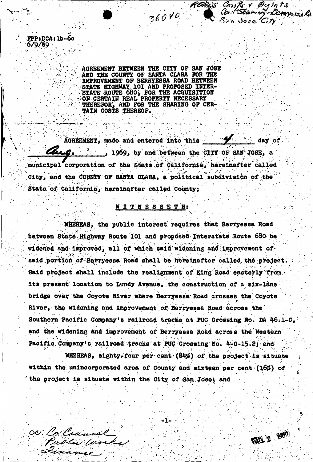AGREEMENT BETWEEN THE CITY OF SAN JOSE AND THE COUNTY OF SANTA CLARA FOR THE IMPROVEMENT OF BERRYESSA ROAD BETWEEN '•STATE HIGHWAY 101 AND PROPOSED INTER-STATE ROUTE 680j FOR THE ACQUISITION r"OP CERTAIH REAL PROPERTY NECESSARY . **THEREPOR', AND FOR THE SHARING OF CER-**TAIN C0ST8 THEREOF.

FPP:DCA:lb-6c

.

co: Co: Caunsel

Evanise

6/9/69

ROAL'S Cont + Bamts<br>36040 Cart Starting Benerald

WE I REC

 $\Lambda$ GREEMENT, made and entered into this  $\mathscr{L}$  . And day of thro. ..., 1969, by and between the CITY OF SAN JOSE, a municipal corporation of the State,of California,'hereinafter called City, and the COUNTY OF SANTA CLARA, a political subdivision of the State of Caiifornia, hereinafter called County;

### ; WIT H B S S E T Hi •

WHEREAS, the public interest requires that Berryessa Road between State Highway Route 101 and proposed Interstate Route 680 be widened and improved, all of which said widening and improvement of said portion of Berryessa Road shall be hereinafter called the project. Said project shall include the realignment of King Road easterly from; its present location to Lundy Avenue, the construction of a six-lane bridge over the Coyote River where Berryessa Road crosses the Coyote River, the widening and improvement of Berryessa Road across the Southern Pacific Company's railroad tracks at PUC Crossing No. BA 46.1-C, and the widening and improvement of Berryessa Road across the Western Pacific Company's railroad tracks at PUC Crossing No. 4-0-15.2; and

WHEREAS, eighty-four per cent (84%) of the project is situate within the unincorporated area of County and sixteen per cent (16%) of , where  $\mathcal{L} = \{ \mathcal{L} \mid \mathcal{L} \in \mathcal{L} \}$  , where  $\mathcal{L} = \{ \mathcal{L} \mid \mathcal{L} \in \mathcal{L} \}$ the project is situate within the City of dan.Josej and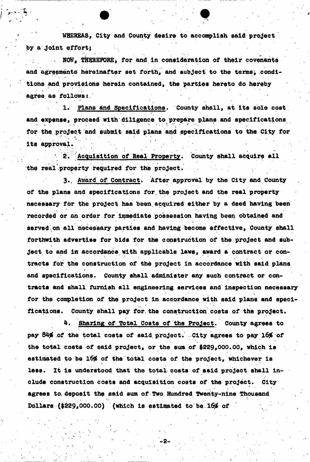WHEREAS, City and County desire to accomplish said project by a joint effort;

NOW, THEREFORE, for and in consideration of their covenants and agreements hereinafter set forth, and subject to the terms, conditions and provisions herein contained, the parties hereto do hereby agree as follows:

1. Plans and Specifications. County shall, at its sole cost and expense, proceed with diligence to prepare plans and specifications for the. project and submit said plans and specifications to the City for its approval.

2. Acquisition of Real Property. County shall acquire all the real property required for the project.

3. Award of Contract. After approval by the City and County of the plans and specifications for.the project and the real property necessary for the project has been acquired either by a deed having been recorded or an order for immediate possession having been obtained and served on all necessary parties and having become effective, County shall forthwith advertise for bids for the construction of the project and subject to and in accordance with applicable laws, award a contract or contracts for the construction of the project in accordance with said plans and specifications. County shall administer any such contract or contracts and shall furnish all engineering services and inspection necessary » for the completion of the project in accordance with said plans and specifications. County shall pay for.the construction costs of the project.

4. Sharing of Total Costs of the Project. County agrees to pay 84% of the total costs of said project. City agrees to pay 16% of the total costs of said project, or the sum of \$229,000.00, which is estimated to be 16% of the total costs of the project, whichever is less. It is understood that the total costs of said project shall include construction costs and acquisition costs of the project. City agrees to, deposit the said sum of Two Hundred Twenty-nine Thousand Dollars  $(*229,000.00)$  (which is estimated to be  $16\%$  of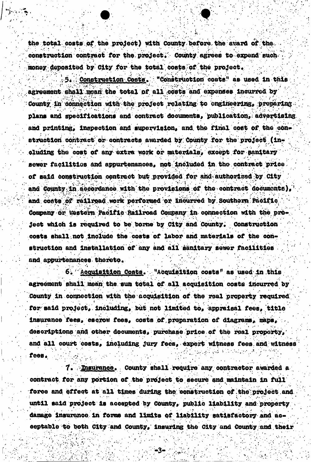the total costs of the project) with County before the award of the construction contract for the project. County agrees to expend such money deposited by City for the total costs of the project.

Construction Costs. "Construction costs" as used in this agreement shall mean the total of all costs and expenses incurred by County in connection with the project relating to engineering, preparing plans and specifications and contract documents, publication, advertising and printing, inspection and supervision, and the final cost of the construction contract or contracts awarded by County for the project (including the cost of any extra work or materials, except for sanitary sewer facilities and appurtenances, not included in the contract price. of said construction contract but provided for and authorized by City and County in accordance with the provisions of the contract documents), and costs of railroad work performed or incurred by Southern Pacific Company or Western Pacific Railroad Company in connection with the project which is required to be borne by City and County. Construction costs shall not include the costs of labor and materials of the construction and installation of any and all sanitary sewer facilities and appuxtenances thereto.

Acquisition Costs. "Acquisition costs" as used in this 6. agreement shall mean the sum total of all acquisition costs incurred by County in connection with the acquisition of the real property required for said project, including, but not limited to, appraisal fees, title insurance fees, escrow fees, costs of preparation of diagrams, maps, descriptions and other documents, purchase price of the real property, and all court costs, including jury fees, expert witness fees and witness fees.

7. **Maurance.** County shall require any contractor awarded a contract for any portion of the project to secure and maintain in full force and effect at all times during the construction of the project and until said project is accepted by County, public liability and property damage insurance in forms and limits of liability satisfactory and acceptable to both City and County, insuring the City and County and their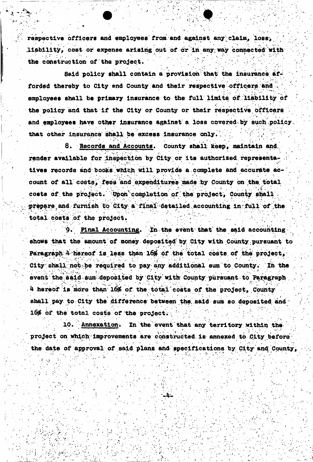respective officers and employees from and against any claim, loss, liability, cost or expense arising out of or in any way connected with the construction of the project.

Said policy shall contain a provision that the insurance afforded thereby to City and County and their respective officers and employees shall be primary insurance to the full limits of liability of the policy and that if the City or County or their respective officers and employees have other insurance against a loss covered by such policy. that other insurance shall be excess insurance only.

8. Records and Accounts. County shall keep, maintain and render available for inspection by City or its authorized representatives records and books which will provide a complete and accurate account of all costs, fees and expenditures made by County on the total costs of the project. Upon completion of the project, County shall prepare and furnish to City a final detailed accounting in full of the total costs of the project.

9. Final Accounting. In the event that the said accounting shows that the amount of money deposited by City with County pursuant to Paragraph 4 hereof is less than 16% of the total costs of the project, City shall not be required to pay any additional sum to County. In the event the said sum deposited by City with County pursuant to Paragraph 4 hereof is more than 16% of the total costs of the project, County shall pay to City the difference between the said sum so deposited and 16% of the total costs of the project.

10. Annexation. In the event that any territory within the project on which improvements are constructed is annexed to City before the date of approval of said plans and specifications by City and County,

Щ.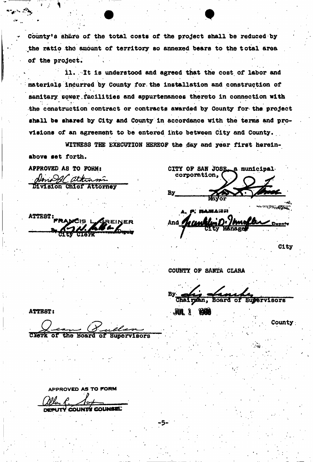County's sh&re of the total costs of the project shall be reduced by *the* ratio thd amount of territory so annexed bears to the total area of the project.

ll. It is understood and agreed that the cost of labor and materials incurred by County for the installation and construction of sanitary sower facilities and appurtenances thereto in connection with the construction contract or contracts awarded by County for the project shall be shared by City and County in accordance with the terms and provisions of an agreement to be entered into between City and County.

WITNESS THE EXECUTION HEREOF the day and year first hereinabove set forth.

Amogal attinsi vision Chief Attorney

ATTEST:

APPROVED AS TO FORM: CITY OF SAN JOSE a municipal Corporation, **By** 2500 大阪のある

**HAMARIA** And : Deputy

City

COUNTY OF SANTA CLARA

Bу Chairgan, Supervisors

m i *m* 

**County** 

*'-sti* 

**ATTEST:** 

CESSR of the Board of Supervisors

**APPROVED AS TO FORM** 

UTY COUNTS COUNSEL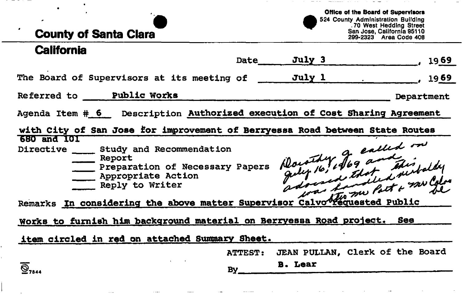# **County of Santa Clara**

 $\sim$   $\sim$ 

**Office of the Board of Supervisors**  524 County Administration Building . 70 West Hedding Street San Jose, California 95110 299-2323 Area Code 408

man a manager of the

## **California**

 $\bullet$ 

|                                                                                                                                                                                                                                    | Date           | July 3                          | 1969       |  |  |
|------------------------------------------------------------------------------------------------------------------------------------------------------------------------------------------------------------------------------------|----------------|---------------------------------|------------|--|--|
| The Board of Supervisors at its meeting of _______ July 1                                                                                                                                                                          |                |                                 | 1969       |  |  |
| Referred to ___ Public Works                                                                                                                                                                                                       |                |                                 | Department |  |  |
| Agenda Item # 6 Description Authorized execution of Cost Sharing Agreement                                                                                                                                                         |                |                                 |            |  |  |
| with City of San Jose for improvement of Berryessa Road between State Routes                                                                                                                                                       |                |                                 |            |  |  |
| 680 and 101<br>Dorothy Jog and this wilder<br>Directive 5tudy and Recommendation<br>Report<br>Preparation of Necessary Papers<br>_ Appropriate Action<br>Remarks In considering the above matter Supervisor Calvo Hequested Public |                |                                 |            |  |  |
|                                                                                                                                                                                                                                    |                |                                 |            |  |  |
| item circled in red on attached Summary Sheet.                                                                                                                                                                                     |                |                                 |            |  |  |
|                                                                                                                                                                                                                                    | <b>ATTEST:</b> | JEAN PULLAN, Clerk of the Board |            |  |  |
| $\overline{\mathbf{Q}}_{7844}$                                                                                                                                                                                                     | By_            | <b>B.</b> Lear                  |            |  |  |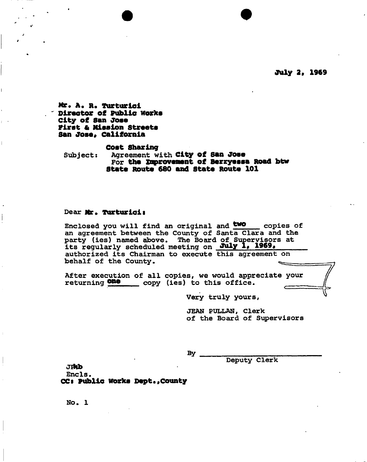**July 2, 1969** 

**Hr. A. R. Turturici Director of Public Works City of San Jose First & Mission Streets San Jose, California** 

#### **Cost Sharing**

**Subject: Agreement with City of San Jose For the approvement of Berryessa Road btw State Route 680 and State Route 101** 

#### **Dear Mr. Turturicis**

**Enclosed you will find an original and ^swo copies of an agreement between the County of Santa Clara and the party (ies) named above. The Board of Supervisors at its regularly scheduled meeting on J^ly 1# 1969# authorized its Chairman to execute this agreement on**  behalf of the County.

**After execution of all copies, we would appreciate your**  returning **ONe** copy (ies) to this office.

**Very truly yours,** 

**JEAN PULLAN, Clerk of the Board of Supervisors** 

**By** 

**Deputy Clerk** 

jHfb Encls. **CCs Public works Dept.,County** 

**No. 1**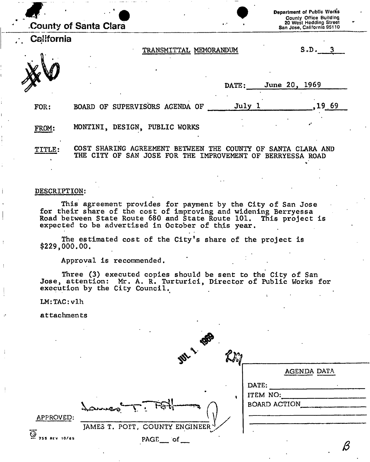|               | المنبور<br>County of Santa Clara                                                                                                                                                     | Department of Public Works<br>County Office Building<br>20 West Hedding Street<br>San Jose, California 95110 |
|---------------|--------------------------------------------------------------------------------------------------------------------------------------------------------------------------------------|--------------------------------------------------------------------------------------------------------------|
| California    | TRANSMITTAL MEMORANDUM                                                                                                                                                               | S.D.                                                                                                         |
|               | DATE:                                                                                                                                                                                | June 20, 1969                                                                                                |
| FOR:          | July 1<br>BOARD OF SUPERVISORS AGENDA OF                                                                                                                                             | 19,69                                                                                                        |
| FROM:         | MONTINI, DESIGN,<br>PUBLIC WORKS                                                                                                                                                     |                                                                                                              |
| <b>TITLE:</b> | COST SHARING<br>AGREEMENT<br><b>THE</b><br><b>BETWEEN</b><br>-OF<br><b>COUNTY</b><br><b>THE</b><br>OF<br><b>JOSE</b><br>FOR<br><b>CITY</b><br>SAN<br>THE<br><b>IMPROVEMENT</b><br>ΩF | SANTA CLARA AND<br>BERRYESSA ROAD                                                                            |

#### **DESCRIPTION:**

**This agreement provides for payment by the City of San Jose for their share of the cost of improving and widening Berryessa Road between State Route 680 and State Route 101. This project is expected to be advertised in October of this year.** 

**The estimated cost of the City's share of the project is \$229,000.00.** 

**Approval is recommended.** 

**Three (3) executed copies should be sent to the City of San Jose, attention: Mr. A. R. Turturici, Director of Public Works for execution by the City Council.** 

**LM:TAC:vlh** 

**attachments** 

|                                       | B                                |              |
|---------------------------------------|----------------------------------|--------------|
|                                       | <b>MALL</b><br>GN 50             |              |
|                                       |                                  | AGENDA DATA  |
|                                       |                                  | DATE:        |
|                                       |                                  | ITEM NO:     |
|                                       | こんじょうちょう                         | BOARD ACTION |
| APPROVED:                             |                                  |              |
|                                       | JAMES T. POTT, COUNTY ENGINEER \ |              |
| $\overline{\mathbb{Q}}$ 755 REV 10/65 | $PAGE$ of                        |              |
|                                       |                                  |              |